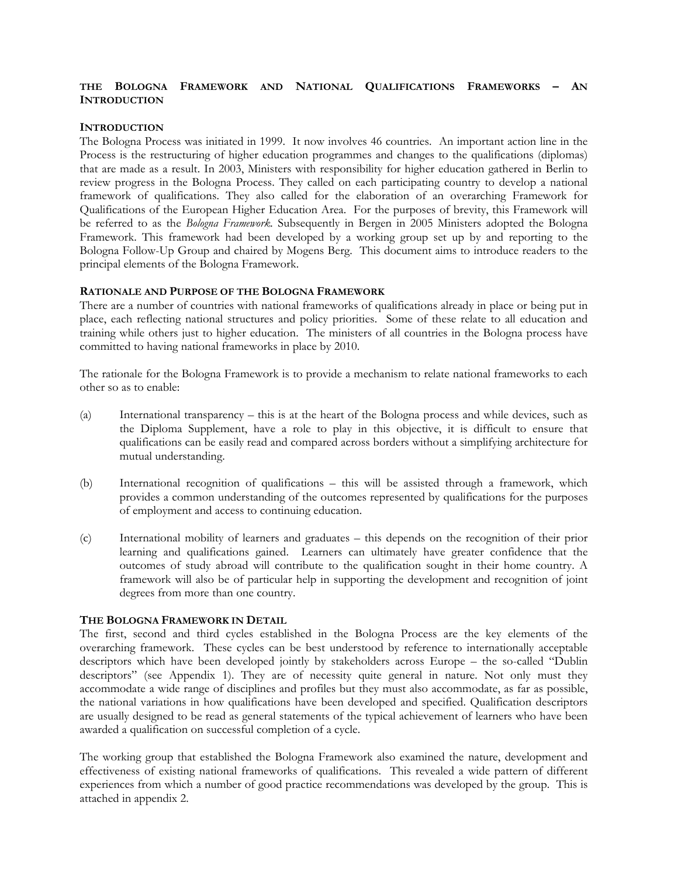#### **THE BOLOGNA FRAMEWORK AND NATIONAL QUALIFICATIONS FRAMEWORKS – AN INTRODUCTION**

#### **INTRODUCTION**

The Bologna Process was initiated in 1999. It now involves 46 countries. An important action line in the Process is the restructuring of higher education programmes and changes to the qualifications (diplomas) that are made as a result. In 2003, Ministers with responsibility for higher education gathered in Berlin to review progress in the Bologna Process. They called on each participating country to develop a national framework of qualifications. They also called for the elaboration of an overarching Framework for Qualifications of the European Higher Education Area. For the purposes of brevity, this Framework will be referred to as the *Bologna Framework.* Subsequently in Bergen in 2005 Ministers adopted the Bologna Framework. This framework had been developed by a working group set up by and reporting to the Bologna Follow-Up Group and chaired by Mogens Berg. This document aims to introduce readers to the principal elements of the Bologna Framework.

#### **RATIONALE AND PURPOSE OF THE BOLOGNA FRAMEWORK**

There are a number of countries with national frameworks of qualifications already in place or being put in place, each reflecting national structures and policy priorities. Some of these relate to all education and training while others just to higher education. The ministers of all countries in the Bologna process have committed to having national frameworks in place by 2010.

The rationale for the Bologna Framework is to provide a mechanism to relate national frameworks to each other so as to enable:

- (a) International transparency this is at the heart of the Bologna process and while devices, such as the Diploma Supplement, have a role to play in this objective, it is difficult to ensure that qualifications can be easily read and compared across borders without a simplifying architecture for mutual understanding.
- (b) International recognition of qualifications this will be assisted through a framework, which provides a common understanding of the outcomes represented by qualifications for the purposes of employment and access to continuing education.
- (c) International mobility of learners and graduates this depends on the recognition of their prior learning and qualifications gained. Learners can ultimately have greater confidence that the outcomes of study abroad will contribute to the qualification sought in their home country. A framework will also be of particular help in supporting the development and recognition of joint degrees from more than one country.

#### **THE BOLOGNA FRAMEWORK IN DETAIL**

The first, second and third cycles established in the Bologna Process are the key elements of the overarching framework. These cycles can be best understood by reference to internationally acceptable descriptors which have been developed jointly by stakeholders across Europe – the so-called "Dublin descriptors" (see Appendix 1). They are of necessity quite general in nature. Not only must they accommodate a wide range of disciplines and profiles but they must also accommodate, as far as possible, the national variations in how qualifications have been developed and specified. Qualification descriptors are usually designed to be read as general statements of the typical achievement of learners who have been awarded a qualification on successful completion of a cycle.

The working group that established the Bologna Framework also examined the nature, development and effectiveness of existing national frameworks of qualifications. This revealed a wide pattern of different experiences from which a number of good practice recommendations was developed by the group. This is attached in appendix 2.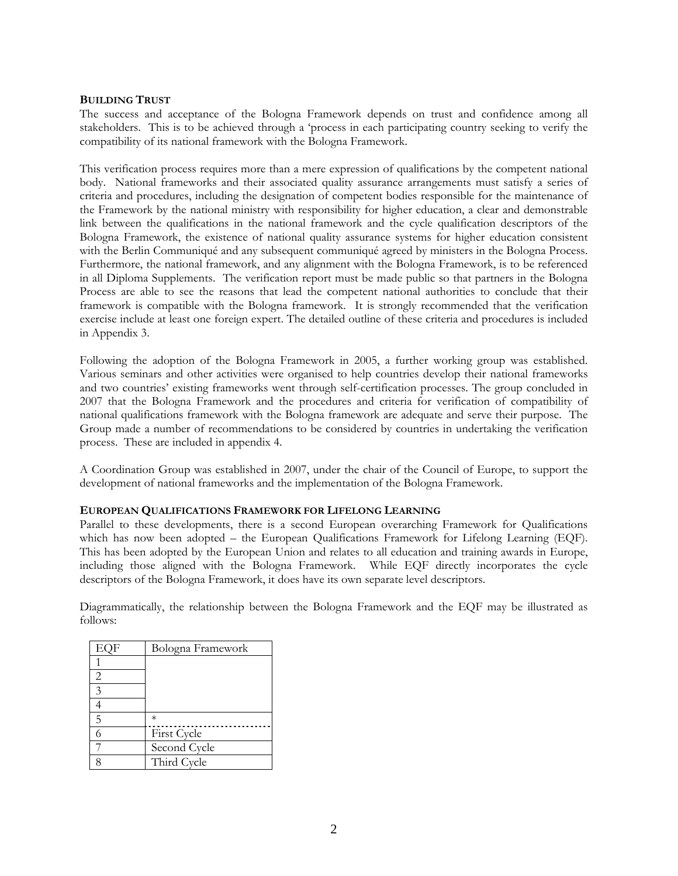#### **BUILDING TRUST**

The success and acceptance of the Bologna Framework depends on trust and confidence among all stakeholders. This is to be achieved through a 'process in each participating country seeking to verify the compatibility of its national framework with the Bologna Framework.

This verification process requires more than a mere expression of qualifications by the competent national body. National frameworks and their associated quality assurance arrangements must satisfy a series of criteria and procedures, including the designation of competent bodies responsible for the maintenance of the Framework by the national ministry with responsibility for higher education, a clear and demonstrable link between the qualifications in the national framework and the cycle qualification descriptors of the Bologna Framework, the existence of national quality assurance systems for higher education consistent with the Berlin Communiqué and any subsequent communiqué agreed by ministers in the Bologna Process. Furthermore, the national framework, and any alignment with the Bologna Framework, is to be referenced in all Diploma Supplements. The verification report must be made public so that partners in the Bologna Process are able to see the reasons that lead the competent national authorities to conclude that their framework is compatible with the Bologna framework. It is strongly recommended that the verification exercise include at least one foreign expert. The detailed outline of these criteria and procedures is included in Appendix 3.

Following the adoption of the Bologna Framework in 2005, a further working group was established. Various seminars and other activities were organised to help countries develop their national frameworks and two countries' existing frameworks went through self-certification processes. The group concluded in 2007 that the Bologna Framework and the procedures and criteria for verification of compatibility of national qualifications framework with the Bologna framework are adequate and serve their purpose. The Group made a number of recommendations to be considered by countries in undertaking the verification process. These are included in appendix 4.

A Coordination Group was established in 2007, under the chair of the Council of Europe, to support the development of national frameworks and the implementation of the Bologna Framework.

#### **EUROPEAN QUALIFICATIONS FRAMEWORK FOR LIFELONG LEARNING**

Parallel to these developments, there is a second European overarching Framework for Qualifications which has now been adopted – the European Qualifications Framework for Lifelong Learning (EQF). This has been adopted by the European Union and relates to all education and training awards in Europe, including those aligned with the Bologna Framework. While EQF directly incorporates the cycle descriptors of the Bologna Framework, it does have its own separate level descriptors.

Diagrammatically, the relationship between the Bologna Framework and the EQF may be illustrated as follows:

| EQF | Bologna Framework |
|-----|-------------------|
|     |                   |
| 2   |                   |
| 3   |                   |
| 4   |                   |
| 5   | $\ast$            |
| 6   | First Cycle       |
|     | Second Cycle      |
|     | Third Cycle       |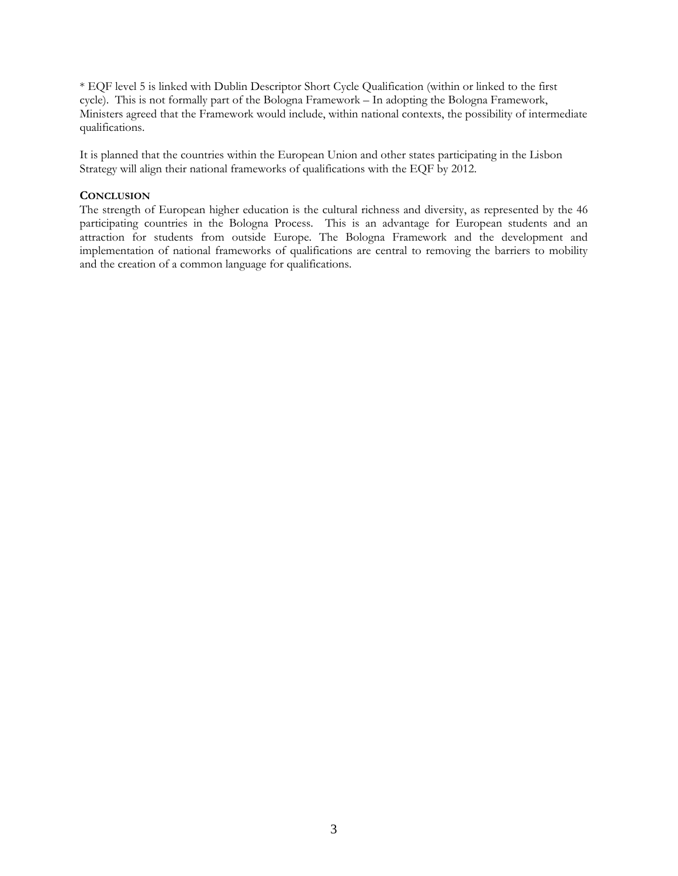\* EQF level 5 is linked with Dublin Descriptor Short Cycle Qualification (within or linked to the first cycle). This is not formally part of the Bologna Framework – In adopting the Bologna Framework, Ministers agreed that the Framework would include, within national contexts, the possibility of intermediate qualifications.

It is planned that the countries within the European Union and other states participating in the Lisbon Strategy will align their national frameworks of qualifications with the EQF by 2012.

#### **CONCLUSION**

The strength of European higher education is the cultural richness and diversity, as represented by the 46 participating countries in the Bologna Process. This is an advantage for European students and an attraction for students from outside Europe. The Bologna Framework and the development and implementation of national frameworks of qualifications are central to removing the barriers to mobility and the creation of a common language for qualifications.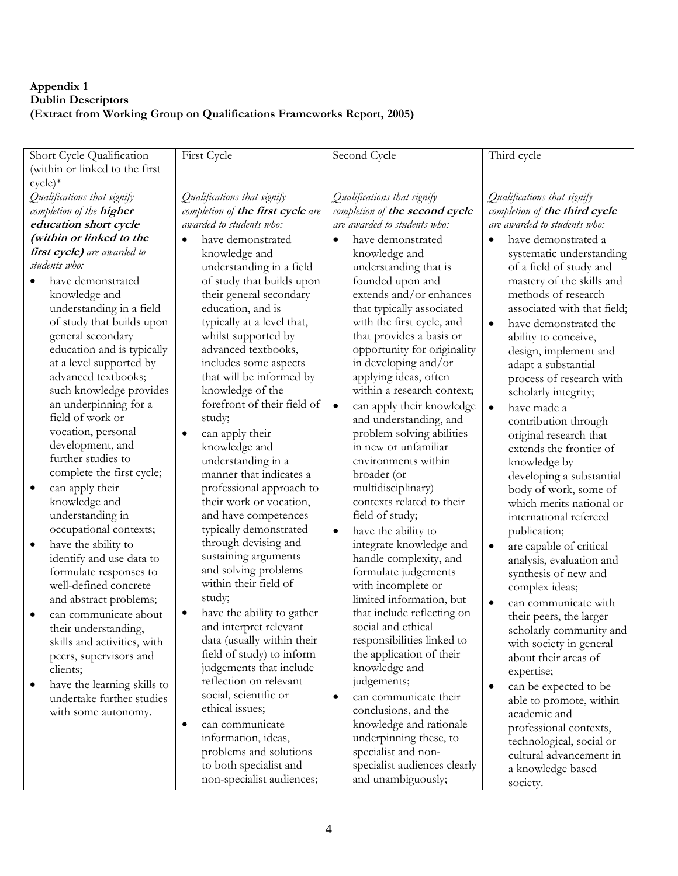## **Appendix 1 Dublin Descriptors (Extract from Working Group on Qualifications Frameworks Report, 2005)**

| Short Cycle Qualification        | First Cycle                             | Second Cycle                           | Third cycle                          |
|----------------------------------|-----------------------------------------|----------------------------------------|--------------------------------------|
| (within or linked to the first   |                                         |                                        |                                      |
| $cycle)*$                        |                                         |                                        |                                      |
| Qualifications that signify      | Qualifications that signify             | Qualifications that signify            | Qualifications that signify          |
| completion of the higher         | completion of the first cycle are       | completion of the second cycle         | completion of the third cycle        |
| education short cycle            | awarded to students who:                | are awarded to students who:           | are awarded to students who:         |
| (within or linked to the         | have demonstrated<br>$\bullet$          | have demonstrated<br>$\bullet$         | have demonstrated a<br>$\bullet$     |
| first cycle) are awarded to      | knowledge and                           | knowledge and                          | systematic understanding             |
| students who:                    | understanding in a field                | understanding that is                  | of a field of study and              |
| have demonstrated                | of study that builds upon               | founded upon and                       | mastery of the skills and            |
| knowledge and                    | their general secondary                 | extends and/or enhances                | methods of research                  |
| understanding in a field         | education, and is                       | that typically associated              | associated with that field;          |
| of study that builds upon        | typically at a level that,              | with the first cycle, and              | have demonstrated the<br>$\bullet$   |
| general secondary                | whilst supported by                     | that provides a basis or               | ability to conceive,                 |
| education and is typically       | advanced textbooks,                     | opportunity for originality            | design, implement and                |
| at a level supported by          | includes some aspects                   | in developing and/or                   | adapt a substantial                  |
| advanced textbooks;              | that will be informed by                | applying ideas, often                  | process of research with             |
| such knowledge provides          | knowledge of the                        | within a research context;             | scholarly integrity;                 |
| an underpinning for a            | forefront of their field of             | can apply their knowledge<br>$\bullet$ | have made a<br>$\bullet$             |
| field of work or                 | study;                                  | and understanding, and                 | contribution through                 |
| vocation, personal               | can apply their<br>$\bullet$            | problem solving abilities              | original research that               |
| development, and                 | knowledge and                           | in new or unfamiliar                   | extends the frontier of              |
| further studies to               | understanding in a                      | environments within                    | knowledge by                         |
| complete the first cycle;        | manner that indicates a                 | broader (or                            | developing a substantial             |
| can apply their<br>$\bullet$     | professional approach to                | multidisciplinary)                     | body of work, some of                |
| knowledge and                    | their work or vocation,                 | contexts related to their              | which merits national or             |
| understanding in                 | and have competences                    | field of study;                        | international refereed               |
| occupational contexts;           | typically demonstrated                  | have the ability to<br>$\bullet$       | publication;                         |
| have the ability to<br>$\bullet$ | through devising and                    | integrate knowledge and                | are capable of critical<br>$\bullet$ |
| identify and use data to         | sustaining arguments                    | handle complexity, and                 | analysis, evaluation and             |
| formulate responses to           | and solving problems                    | formulate judgements                   | synthesis of new and                 |
| well-defined concrete            | within their field of                   | with incomplete or                     | complex ideas;                       |
| and abstract problems;           | study;                                  | limited information, but               | can communicate with<br>$\bullet$    |
| can communicate about            | have the ability to gather<br>$\bullet$ | that include reflecting on             | their peers, the larger              |
| their understanding,             | and interpret relevant                  | social and ethical                     | scholarly community and              |
| skills and activities, with      | data (usually within their              | responsibilities linked to             | with society in general              |
| peers, supervisors and           | field of study) to inform               | the application of their               | about their areas of                 |
| clients;                         | judgements that include                 | knowledge and                          | expertise;                           |
| have the learning skills to<br>٠ | reflection on relevant                  | judgements;                            | can be expected to be<br>$\bullet$   |
| undertake further studies        | social, scientific or                   | can communicate their<br>٠             | able to promote, within              |
| with some autonomy.              | ethical issues;                         | conclusions, and the                   | academic and                         |
|                                  | can communicate<br>$\bullet$            | knowledge and rationale                | professional contexts,               |
|                                  | information, ideas,                     | underpinning these, to                 | technological, social or             |
|                                  | problems and solutions                  | specialist and non-                    | cultural advancement in              |
|                                  | to both specialist and                  | specialist audiences clearly           | a knowledge based                    |
|                                  | non-specialist audiences;               | and unambiguously;                     | society.                             |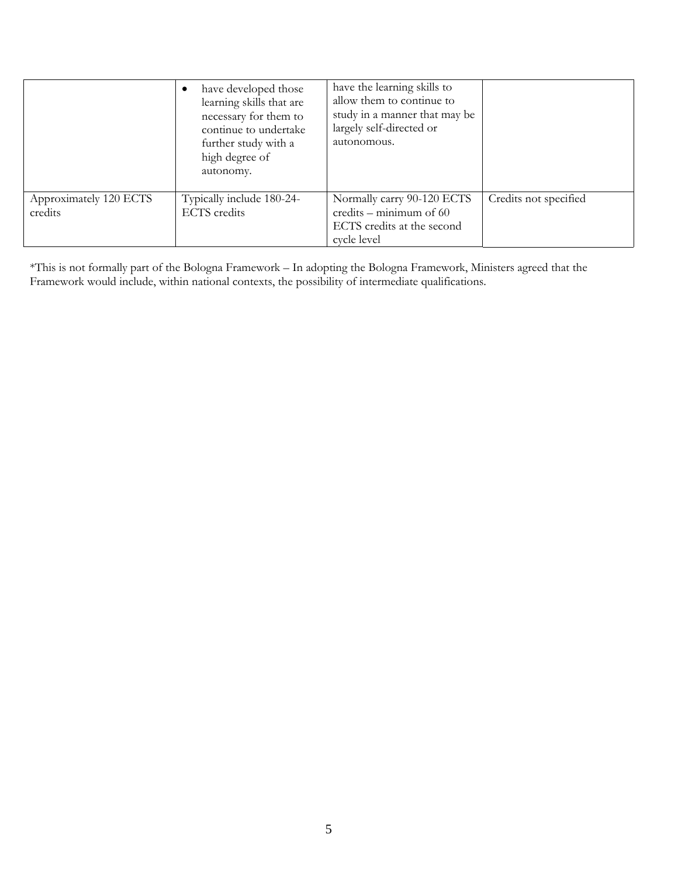|                                   | have developed those<br>learning skills that are<br>necessary for them to<br>continue to undertake<br>further study with a<br>high degree of<br>autonomy. | have the learning skills to<br>allow them to continue to<br>study in a manner that may be<br>largely self-directed or<br>autonomous. |                       |
|-----------------------------------|-----------------------------------------------------------------------------------------------------------------------------------------------------------|--------------------------------------------------------------------------------------------------------------------------------------|-----------------------|
| Approximately 120 ECTS<br>credits | Typically include 180-24-<br><b>ECTS</b> credits                                                                                                          | Normally carry 90-120 ECTS<br>credits – minimum of $60$<br>ECTS credits at the second<br>cycle level                                 | Credits not specified |

\*This is not formally part of the Bologna Framework – In adopting the Bologna Framework, Ministers agreed that the Framework would include, within national contexts, the possibility of intermediate qualifications.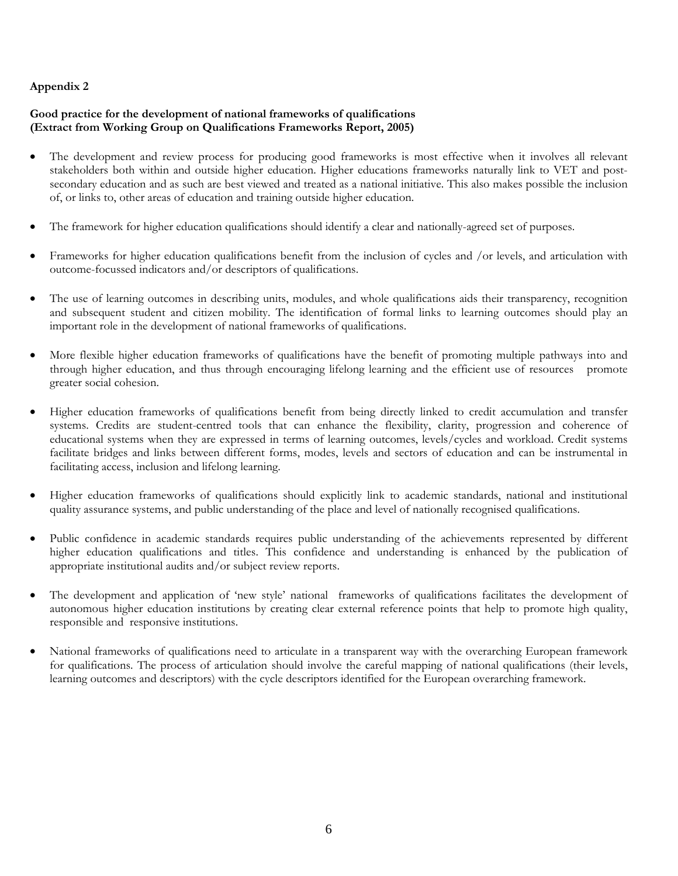## **Good practice for the development of national frameworks of qualifications (Extract from Working Group on Qualifications Frameworks Report, 2005)**

- The development and review process for producing good frameworks is most effective when it involves all relevant stakeholders both within and outside higher education. Higher educations frameworks naturally link to VET and postsecondary education and as such are best viewed and treated as a national initiative. This also makes possible the inclusion of, or links to, other areas of education and training outside higher education.
- The framework for higher education qualifications should identify a clear and nationally-agreed set of purposes.
- Frameworks for higher education qualifications benefit from the inclusion of cycles and /or levels, and articulation with outcome-focussed indicators and/or descriptors of qualifications.
- The use of learning outcomes in describing units, modules, and whole qualifications aids their transparency, recognition and subsequent student and citizen mobility. The identification of formal links to learning outcomes should play an important role in the development of national frameworks of qualifications.
- More flexible higher education frameworks of qualifications have the benefit of promoting multiple pathways into and through higher education, and thus through encouraging lifelong learning and the efficient use of resources promote greater social cohesion.
- Higher education frameworks of qualifications benefit from being directly linked to credit accumulation and transfer systems. Credits are student-centred tools that can enhance the flexibility, clarity, progression and coherence of educational systems when they are expressed in terms of learning outcomes, levels/cycles and workload. Credit systems facilitate bridges and links between different forms, modes, levels and sectors of education and can be instrumental in facilitating access, inclusion and lifelong learning.
- Higher education frameworks of qualifications should explicitly link to academic standards, national and institutional quality assurance systems, and public understanding of the place and level of nationally recognised qualifications.
- Public confidence in academic standards requires public understanding of the achievements represented by different higher education qualifications and titles. This confidence and understanding is enhanced by the publication of appropriate institutional audits and/or subject review reports.
- The development and application of 'new style' national frameworks of qualifications facilitates the development of autonomous higher education institutions by creating clear external reference points that help to promote high quality, responsible and responsive institutions.
- National frameworks of qualifications need to articulate in a transparent way with the overarching European framework for qualifications. The process of articulation should involve the careful mapping of national qualifications (their levels, learning outcomes and descriptors) with the cycle descriptors identified for the European overarching framework.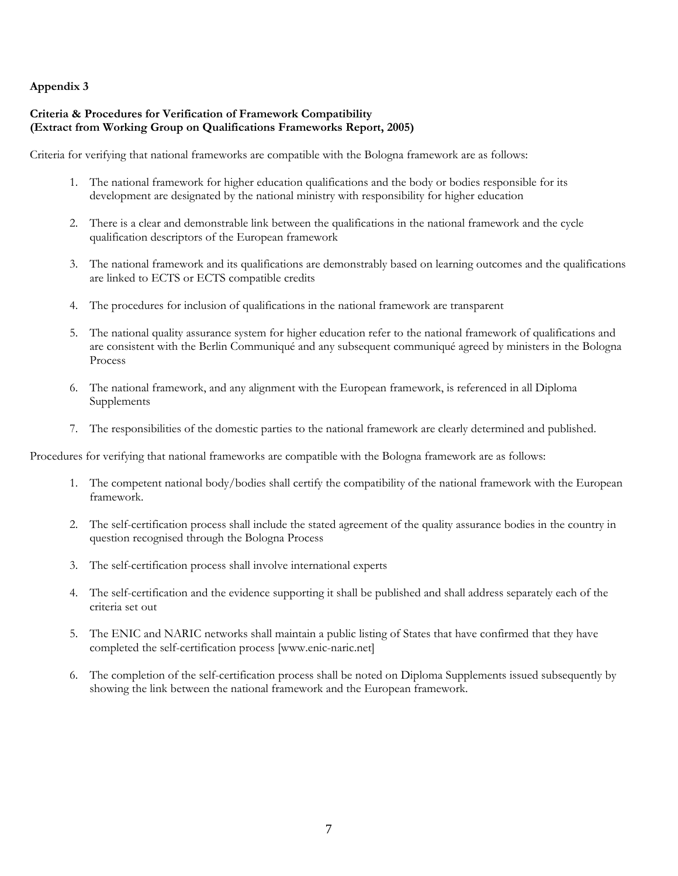#### **Criteria & Procedures for Verification of Framework Compatibility (Extract from Working Group on Qualifications Frameworks Report, 2005)**

Criteria for verifying that national frameworks are compatible with the Bologna framework are as follows:

- 1. The national framework for higher education qualifications and the body or bodies responsible for its development are designated by the national ministry with responsibility for higher education
- 2. There is a clear and demonstrable link between the qualifications in the national framework and the cycle qualification descriptors of the European framework
- 3. The national framework and its qualifications are demonstrably based on learning outcomes and the qualifications are linked to ECTS or ECTS compatible credits
- 4. The procedures for inclusion of qualifications in the national framework are transparent
- 5. The national quality assurance system for higher education refer to the national framework of qualifications and are consistent with the Berlin Communiqué and any subsequent communiqué agreed by ministers in the Bologna Process
- 6. The national framework, and any alignment with the European framework, is referenced in all Diploma Supplements
- 7. The responsibilities of the domestic parties to the national framework are clearly determined and published.

Procedures for verifying that national frameworks are compatible with the Bologna framework are as follows:

- 1. The competent national body/bodies shall certify the compatibility of the national framework with the European framework.
- 2. The self-certification process shall include the stated agreement of the quality assurance bodies in the country in question recognised through the Bologna Process
- 3. The self-certification process shall involve international experts
- 4. The self-certification and the evidence supporting it shall be published and shall address separately each of the criteria set out
- 5. The ENIC and NARIC networks shall maintain a public listing of States that have confirmed that they have completed the self-certification process [www.enic-naric.net]
- 6. The completion of the self-certification process shall be noted on Diploma Supplements issued subsequently by showing the link between the national framework and the European framework.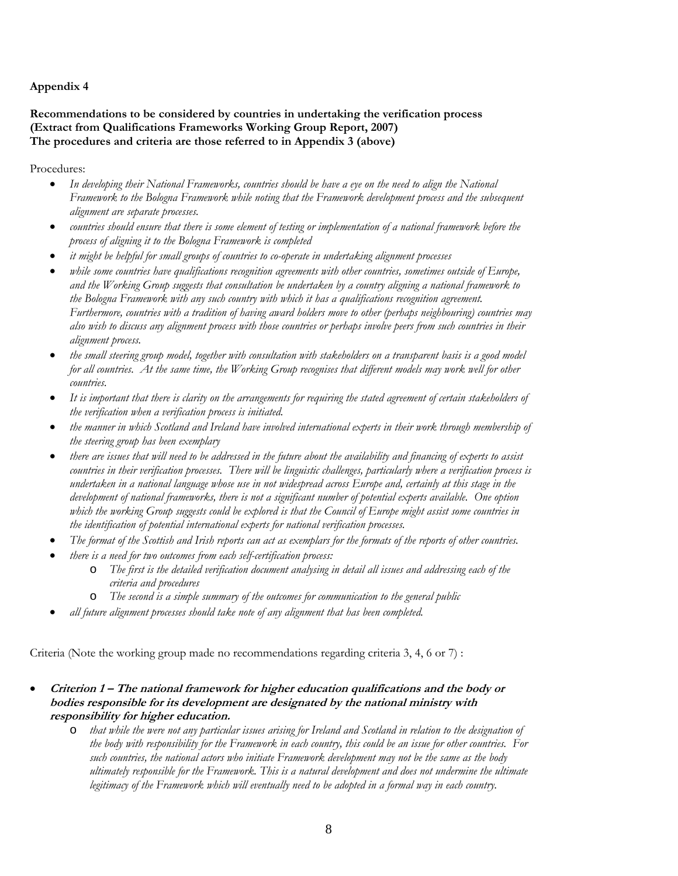## **Recommendations to be considered by countries in undertaking the verification process (Extract from Qualifications Frameworks Working Group Report, 2007) The procedures and criteria are those referred to in Appendix 3 (above)**

Procedures:

- *In developing their National Frameworks, countries should be have a eye on the need to align the National Framework to the Bologna Framework while noting that the Framework development process and the subsequent alignment are separate processes.*
- *countries should ensure that there is some element of testing or implementation of a national framework before the process of aligning it to the Bologna Framework is completed*
- *it might be helpful for small groups of countries to co-operate in undertaking alignment processes*
- *while some countries have qualifications recognition agreements with other countries, sometimes outside of Europe, and the Working Group suggests that consultation be undertaken by a country aligning a national framework to the Bologna Framework with any such country with which it has a qualifications recognition agreement. Furthermore, countries with a tradition of having award holders move to other (perhaps neighbouring) countries may also wish to discuss any alignment process with those countries or perhaps involve peers from such countries in their alignment process.*
- *the small steering group model, together with consultation with stakeholders on a transparent basis is a good model for all countries. At the same time, the Working Group recognises that different models may work well for other countries.*
- *It is important that there is clarity on the arrangements for requiring the stated agreement of certain stakeholders of the verification when a verification process is initiated.*
- *the manner in which Scotland and Ireland have involved international experts in their work through membership of the steering group has been exemplary*
- *there are issues that will need to be addressed in the future about the availability and financing of experts to assist countries in their verification processes. There will be linguistic challenges, particularly where a verification process is undertaken in a national language whose use in not widespread across Europe and, certainly at this stage in the development of national frameworks, there is not a significant number of potential experts available. One option which the working Group suggests could be explored is that the Council of Europe might assist some countries in the identification of potential international experts for national verification processes.*
- *The format of the Scottish and Irish reports can act as exemplars for the formats of the reports of other countries.*
- *there is a need for two outcomes from each self-certification process:* 
	- o *The first is the detailed verification document analysing in detail all issues and addressing each of the criteria and procedures*
	- o *The second is a simple summary of the outcomes for communication to the general public*
	- *all future alignment processes should take note of any alignment that has been completed.*

Criteria (Note the working group made no recommendations regarding criteria 3, 4, 6 or 7) :

- Criterion 1 The national framework for higher education qualifications and the body or **bod es responsible for its development are designated by the national ministry with i responsib lity for higher education. i**
	- o *that while the were not any particular issues arising for Ireland and Scotland in relation to the designation of the body with responsibility for the Framework in each country, this could be an issue for other countries. For such countries, the national actors who initiate Framework development may not be the same as the body ultimately responsible for the Framework. This is a natural development and does not undermine the ultimate legitimacy of the Framework which will eventually need to be adopted in a formal way in each country.*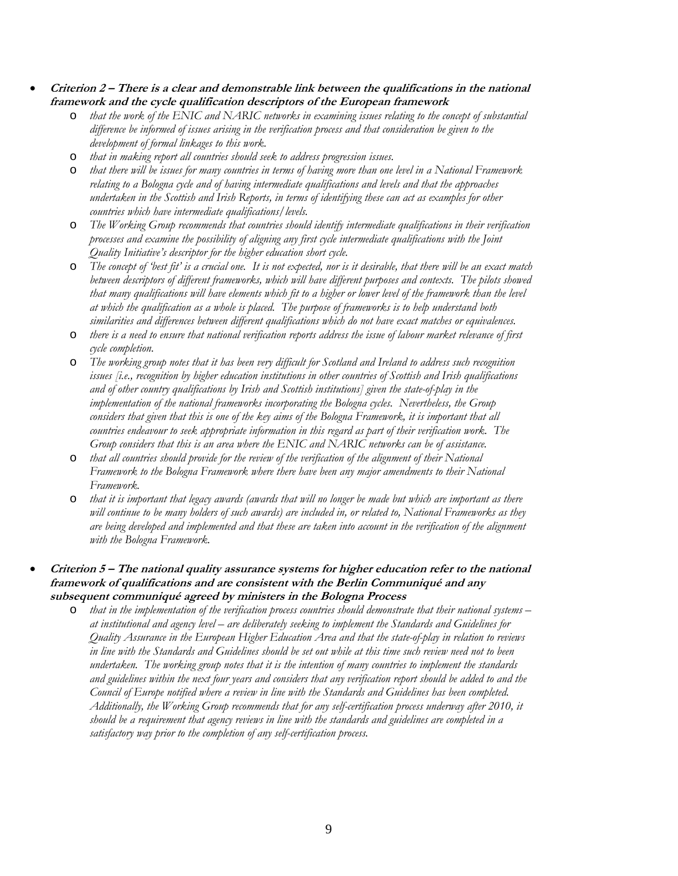- **Criterion 2 There is a clear and demonstrable link between the qualifications in the national framework and the cycle qualification descriptors of the European framework**
	- o *that the work of the ENIC and NARIC networks in examining issues relating to the concept of substantial difference be informed of issues arising in the verification process and that consideration be given to the development of formal linkages to this work.*
	- o *that in making report all countries should seek to address progression issues.*
	- o *that there will be issues for many countries in terms of having more than one level in a National Framework relating to a Bologna cycle and of having intermediate qualifications and levels and that the approaches undertaken in the Scottish and Irish Reports, in terms of identifying these can act as examples for other countries which have intermediate qualifications/levels.*
	- o *The Working Group recommends that countries should identify intermediate qualifications in their verification processes and examine the possibility of aligning any first cycle intermediate qualifications with the Joint Quality Initiative's descriptor for the higher education short cycle.*
	- o *The concept of 'best fit' is a crucial one. It is not expected, nor is it desirable, that there will be an exact match between descriptors of different frameworks, which will have different purposes and contexts. The pilots showed that many qualifications will have elements which fit to a higher or lower level of the framework than the level at which the qualification as a whole is placed. The purpose of frameworks is to help understand both similarities and differences between different qualifications which do not have exact matches or equivalences.*
	- o *there is a need to ensure that national verification reports address the issue of labour market relevance of first cycle completion.*
	- o *The working group notes that it has been very difficult for Scotland and Ireland to address such recognition issues [i.e., recognition by higher education institutions in other countries of Scottish and Irish qualifications and of other country qualifications by Irish and Scottish institutions] given the state-of-play in the implementation of the national frameworks incorporating the Bologna cycles. Nevertheless, the Group considers that given that this is one of the key aims of the Bologna Framework, it is important that all countries endeavour to seek appropriate information in this regard as part of their verification work. The Group considers that this is an area where the ENIC and NARIC networks can be of assistance.*
	- o *that all countries should provide for the review of the verification of the alignment of their National Framework to the Bologna Framework where there have been any major amendments to their National Framework.*
	- o *that it is important that legacy awards (awards that will no longer be made but which are important as there will continue to be many holders of such awards) are included in, or related to, National Frameworks as they are being developed and implemented and that these are taken into account in the verification of the alignment with the Bologna Framework.*
- Criterion 5 The national quality assurance systems for higher education refer to the national **framework of qualifications and are consistent with the Berlin Commun qué and any i subsequent communiqué agreed by ministers in the Bologna Process**
	- o *that in the implementation of the verification process countries should demonstrate that their national systems at institutional and agency level – are deliberately seeking to implement the Standards and Guidelines for Quality Assurance in the European Higher Education Area and that the state-of-play in relation to reviews in line with the Standards and Guidelines should be set out while at this time such review need not to been undertaken. The working group notes that it is the intention of many countries to implement the standards and guidelines within the next four years and considers that any verification report should be added to and the Council of Europe notified where a review in line with the Standards and Guidelines has been completed. Additionally, the Working Group recommends that for any self-certification process underway after 2010, it should be a requirement that agency reviews in line with the standards and guidelines are completed in a satisfactory way prior to the completion of any self-certification process.*